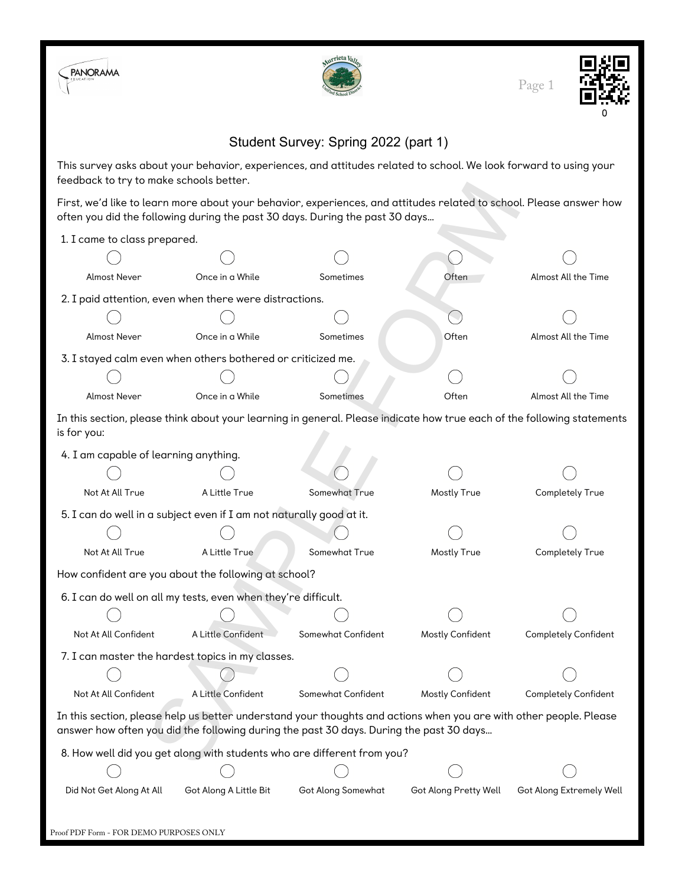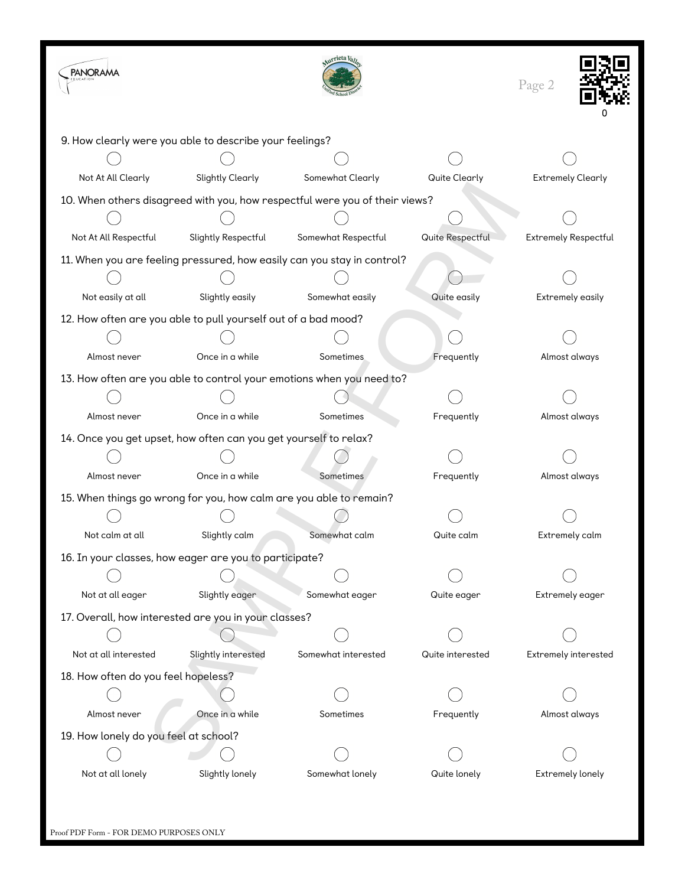| <b>PANORAMA</b>                                                             |                         | rrieta Val          |                  | Page 2                      |  |  |  |
|-----------------------------------------------------------------------------|-------------------------|---------------------|------------------|-----------------------------|--|--|--|
| 9. How clearly were you able to describe your feelings?                     |                         |                     |                  |                             |  |  |  |
|                                                                             |                         |                     |                  |                             |  |  |  |
| Not At All Clearly                                                          | <b>Slightly Clearly</b> | Somewhat Clearly    | Quite Clearly    | <b>Extremely Clearly</b>    |  |  |  |
| 10. When others disagreed with you, how respectful were you of their views? |                         |                     |                  |                             |  |  |  |
|                                                                             |                         |                     |                  |                             |  |  |  |
| Not At All Respectful                                                       | Slightly Respectful     | Somewhat Respectful | Quite Respectful | <b>Extremely Respectful</b> |  |  |  |
| 11. When you are feeling pressured, how easily can you stay in control?     |                         |                     |                  |                             |  |  |  |
|                                                                             |                         |                     |                  |                             |  |  |  |
| Not easily at all                                                           | Slightly easily         | Somewhat easily     | Quite easily     | Extremely easily            |  |  |  |
| 12. How often are you able to pull yourself out of a bad mood?              |                         |                     |                  |                             |  |  |  |
|                                                                             |                         |                     |                  |                             |  |  |  |
| Almost never                                                                | Once in a while         | Sometimes           | Frequently       | Almost always               |  |  |  |
| 13. How often are you able to control your emotions when you need to?       |                         |                     |                  |                             |  |  |  |
|                                                                             |                         |                     |                  |                             |  |  |  |
| Almost never                                                                | Once in a while         | Sometimes           | Frequently       | Almost always               |  |  |  |
| 14. Once you get upset, how often can you get yourself to relax?            |                         |                     |                  |                             |  |  |  |
|                                                                             |                         |                     |                  |                             |  |  |  |
| Almost never                                                                | Once in a while         | Sometimes           | Frequently       | Almost always               |  |  |  |
| 15. When things go wrong for you, how calm are you able to remain?          |                         |                     |                  |                             |  |  |  |
|                                                                             |                         |                     |                  |                             |  |  |  |
| Not calm at all                                                             | Slightly calm           | Somewhat calm       | Quite calm       | Extremely calm              |  |  |  |
| 16. In your classes, how eager are you to participate?                      |                         |                     |                  |                             |  |  |  |
|                                                                             |                         |                     |                  |                             |  |  |  |
| Not at all eager                                                            | Slightly eager          | Somewhat eager      | Quite eager      | Extremely eager             |  |  |  |
| 17. Overall, how interested are you in your classes?                        |                         |                     |                  |                             |  |  |  |
|                                                                             |                         |                     |                  |                             |  |  |  |
| Not at all interested                                                       | Slightly interested     | Somewhat interested | Quite interested | Extremely interested        |  |  |  |
| 18. How often do you feel hopeless?                                         |                         |                     |                  |                             |  |  |  |
|                                                                             |                         |                     |                  |                             |  |  |  |
| Almost never                                                                | Once in a while         | Sometimes           | Frequently       | Almost always               |  |  |  |
| 19. How lonely do you feel at school?                                       |                         |                     |                  |                             |  |  |  |
|                                                                             |                         |                     |                  |                             |  |  |  |
| Not at all lonely                                                           | Slightly lonely         | Somewhat lonely     | Quite lonely     | Extremely lonely            |  |  |  |